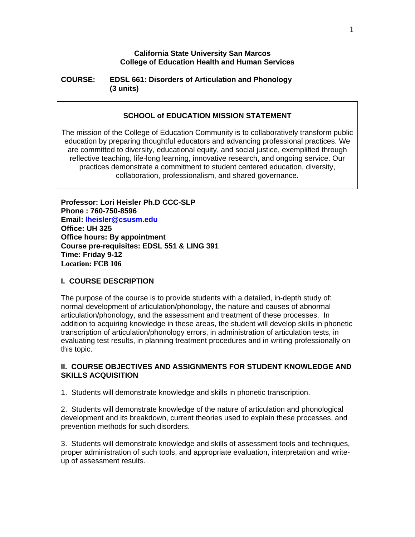### **California State University San Marcos College of Education Health and Human Services**

## **COURSE: EDSL 661: Disorders of Articulation and Phonology (3 units)**

## **SCHOOL of EDUCATION MISSION STATEMENT**

The mission of the College of Education Community is to collaboratively transform public education by preparing thoughtful educators and advancing professional practices. We are committed to diversity, educational equity, and social justice, exemplified through reflective teaching, life-long learning, innovative research, and ongoing service. Our practices demonstrate a commitment to student centered education, diversity, collaboration, professionalism, and shared governance.

**Professor: Lori Heisler Ph.D CCC-SLP Phone : 760-750-8596 Email: lheisler@csusm.edu Office: UH 325 Office hours: By appointment Course pre-requisites: EDSL 551 & LING 391 Time: Friday 9-12 Location: FCB 106** 

### **I. COURSE DESCRIPTION**

The purpose of the course is to provide students with a detailed, in-depth study of: normal development of articulation/phonology, the nature and causes of abnormal articulation/phonology, and the assessment and treatment of these processes. In addition to acquiring knowledge in these areas, the student will develop skills in phonetic transcription of articulation/phonology errors, in administration of articulation tests, in evaluating test results, in planning treatment procedures and in writing professionally on this topic.

## **II. COURSE OBJECTIVES AND ASSIGNMENTS FOR STUDENT KNOWLEDGE AND SKILLS ACQUISITION**

1. Students will demonstrate knowledge and skills in phonetic transcription.

2. Students will demonstrate knowledge of the nature of articulation and phonological development and its breakdown, current theories used to explain these processes, and prevention methods for such disorders.

3. Students will demonstrate knowledge and skills of assessment tools and techniques, proper administration of such tools, and appropriate evaluation, interpretation and writeup of assessment results.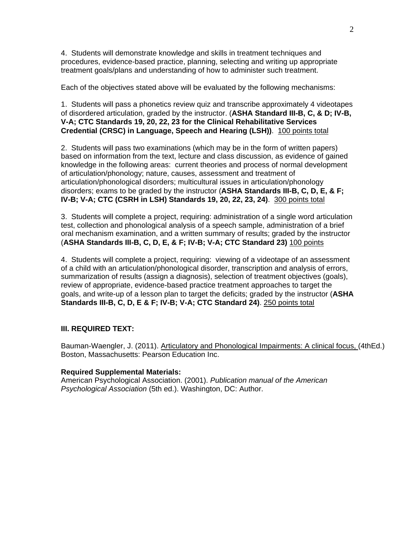4. Students will demonstrate knowledge and skills in treatment techniques and procedures, evidence-based practice, planning, selecting and writing up appropriate treatment goals/plans and understanding of how to administer such treatment.

Each of the objectives stated above will be evaluated by the following mechanisms:

1. Students will pass a phonetics review quiz and transcribe approximately 4 videotapes of disordered articulation, graded by the instructor. (**ASHA Standard III-B, C, & D; IV-B, V-A; CTC Standards 19, 20, 22, 23 for the Clinical Rehabilitative Services Credential (CRSC) in Language, Speech and Hearing (LSH))**. 100 points total

2. Students will pass two examinations (which may be in the form of written papers) based on information from the text, lecture and class discussion, as evidence of gained knowledge in the following areas: current theories and process of normal development of articulation/phonology; nature, causes, assessment and treatment of articulation/phonological disorders; multicultural issues in articulation/phonology disorders; exams to be graded by the instructor (**ASHA Standards III-B, C, D, E, & F; IV-B; V-A; CTC (CSRH in LSH) Standards 19, 20, 22, 23, 24)**. 300 points total

3. Students will complete a project, requiring: administration of a single word articulation test, collection and phonological analysis of a speech sample, administration of a brief oral mechanism examination, and a written summary of results; graded by the instructor (**ASHA Standards III-B, C, D, E, & F; IV-B; V-A; CTC Standard 23)** 100 points

4. Students will complete a project, requiring: viewing of a videotape of an assessment of a child with an articulation/phonological disorder, transcription and analysis of errors, summarization of results (assign a diagnosis), selection of treatment objectives (goals), review of appropriate, evidence-based practice treatment approaches to target the goals, and write-up of a lesson plan to target the deficits; graded by the instructor (**ASHA Standards III-B, C, D, E & F; IV-B; V-A; CTC Standard 24)**. 250 points total

## **III. REQUIRED TEXT:**

Bauman-Waengler, J. (2011). Articulatory and Phonological Impairments: A clinical focus, (4thEd.) Boston, Massachusetts: Pearson Education Inc.

### **Required Supplemental Materials:**

American Psychological Association. (2001). *Publication manual of the American Psychological Association* (5th ed.). Washington, DC: Author.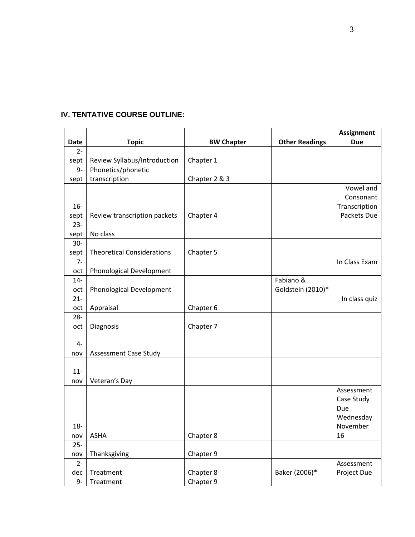|             |                                   |                   |                       | <b>Assignment</b> |
|-------------|-----------------------------------|-------------------|-----------------------|-------------------|
| <b>Date</b> | <b>Topic</b>                      | <b>BW Chapter</b> | <b>Other Readings</b> | <b>Due</b>        |
| $2 -$       |                                   |                   |                       |                   |
| sept        | Review Syllabus/Introduction      | Chapter 1         |                       |                   |
| $9-$        | Phonetics/phonetic                |                   |                       |                   |
| sept        | transcription                     | Chapter 2 & 3     |                       |                   |
|             |                                   |                   |                       | Vowel and         |
|             |                                   |                   |                       | Consonant         |
| $16-$       |                                   |                   |                       | Transcription     |
| sept        | Review transcription packets      | Chapter 4         |                       | Packets Due       |
| $23 -$      |                                   |                   |                       |                   |
| sept        | No class                          |                   |                       |                   |
| $30-$       |                                   |                   |                       |                   |
| sept        | <b>Theoretical Considerations</b> | Chapter 5         |                       |                   |
| $7-$        |                                   |                   |                       | In Class Exam     |
| oct         | Phonological Development          |                   |                       |                   |
| $14-$       |                                   |                   | Fabiano &             |                   |
| oct         | Phonological Development          |                   | Goldstein (2010)*     |                   |
| $21 -$      |                                   |                   |                       | In class quiz     |
| oct         | Appraisal                         | Chapter 6         |                       |                   |
| $28 -$      |                                   |                   |                       |                   |
| oct         | Diagnosis                         | Chapter 7         |                       |                   |
|             |                                   |                   |                       |                   |
| $4-$        |                                   |                   |                       |                   |
| nov         | <b>Assessment Case Study</b>      |                   |                       |                   |
|             |                                   |                   |                       |                   |
| $11-$       |                                   |                   |                       |                   |
| nov         | Veteran's Day                     |                   |                       |                   |
|             |                                   |                   |                       | Assessment        |
|             |                                   |                   |                       | Case Study        |
|             |                                   |                   |                       | Due               |
|             |                                   |                   |                       | Wednesday         |
| $18 -$      |                                   |                   |                       | November          |
| nov         | <b>ASHA</b>                       | Chapter 8         |                       | 16                |
| $25 -$      |                                   |                   |                       |                   |
| nov         | Thanksgiving                      | Chapter 9         |                       |                   |
| $2 -$       |                                   |                   |                       | Assessment        |
| dec         | Treatment                         | Chapter 8         | Baker (2006)*         | Project Due       |
| $9-$        | Treatment                         | Chapter 9         |                       |                   |

# **IV. TENTATIVE COURSE OUTLINE:**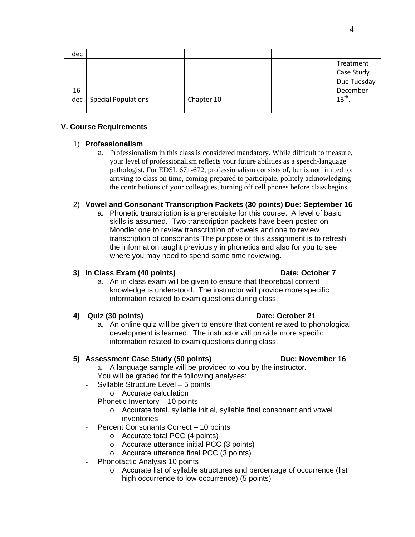| dec   |                     |            |                  |
|-------|---------------------|------------|------------------|
|       |                     |            | Treatment        |
|       |                     |            | Case Study       |
|       |                     |            | Due Tuesday      |
| $16-$ |                     |            | December         |
| dec l | Special Populations | Chapter 10 | 13 <sup>th</sup> |
|       |                     |            |                  |

## **V. Course Requirements**

## 1) **Professionalism**

a. Professionalism in this class is considered mandatory. While difficult to measure, your level of professionalism reflects your future abilities as a speech-language pathologist. For EDSL 671-672, professionalism consists of, but is not limited to: arriving to class on time, coming prepared to participate, politely acknowledging the contributions of your colleagues, turning off cell phones before class begins.

## 2) **Vowel and Consonant Transcription Packets (30 points) Due: September 16**

a. Phonetic transcription is a prerequisite for this course. A level of basic skills is assumed. Two transcription packets have been posted on Moodle: one to review transcription of vowels and one to review transcription of consonants The purpose of this assignment is to refresh the information taught previously in phonetics and also for you to see where you may need to spend some time reviewing.

## **3) In Class Exam (40 points) Date: October 7** *Date: October 7**Date: October 7*

# a. An in class exam will be given to ensure that theoretical content knowledge is understood. The instructor will provide more specific information related to exam questions during class.

# **4) Quiz (30 points) Date: October 21**

a. An online quiz will be given to ensure that content related to phonological development is learned. The instructor will provide more specific information related to exam questions during class.

# **5) Assessment Case Study (50 points) Due: November 16**

- a. A language sample will be provided to you by the instructor. You will be graded for the following analyses:
- Syllable Structure Level 5 points
	- o Accurate calculation
- Phonetic Inventory 10 points
	- o Accurate total, syllable initial, syllable final consonant and vowel inventories
- Percent Consonants Correct 10 points
	- o Accurate total PCC (4 points)
	- o Accurate utterance initial PCC (3 points)
	- o Accurate utterance final PCC (3 points)
- Phonotactic Analysis 10 points
	- o Accurate list of syllable structures and percentage of occurrence (list high occurrence to low occurrence) (5 points)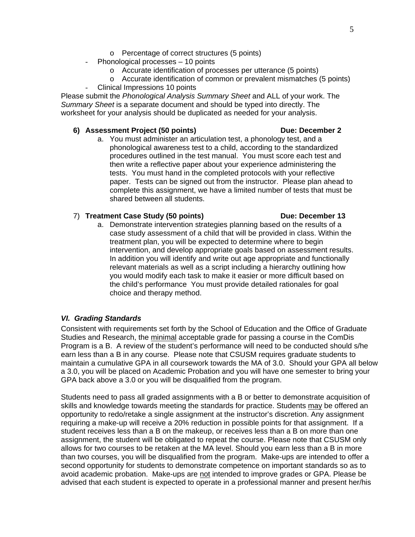- o Percentage of correct structures (5 points)
- Phonological processes 10 points
	- o Accurate identification of processes per utterance (5 points)
	- o Accurate identification of common or prevalent mismatches (5 points)
	- Clinical Impressions 10 points

Please submit the *Phonological Analysis Summary Sheet* and ALL of your work. The *Summary Sheet* is a separate document and should be typed into directly. The worksheet for your analysis should be duplicated as needed for your analysis.

### **6) Assessment Project (50 points) Due: December 2**

a. You must administer an articulation test, a phonology test, and a phonological awareness test to a child, according to the standardized procedures outlined in the test manual. You must score each test and then write a reflective paper about your experience administering the tests. You must hand in the completed protocols with your reflective paper. Tests can be signed out from the instructor. Please plan ahead to complete this assignment, we have a limited number of tests that must be shared between all students.

### 7) **Treatment Case Study (50 points)** Due: December 13

a. Demonstrate intervention strategies planning based on the results of a case study assessment of a child that will be provided in class. Within the treatment plan, you will be expected to determine where to begin intervention, and develop appropriate goals based on assessment results. In addition you will identify and write out age appropriate and functionally relevant materials as well as a script including a hierarchy outlining how you would modify each task to make it easier or more difficult based on the child's performance You must provide detailed rationales for goal choice and therapy method.

### *VI. Grading Standards*

Consistent with requirements set forth by the School of Education and the Office of Graduate Studies and Research, the minimal acceptable grade for passing a course in the ComDis Program is a B. A review of the student's performance will need to be conducted should s/he earn less than a B in any course. Please note that CSUSM requires graduate students to maintain a cumulative GPA in all coursework towards the MA of 3.0. Should your GPA all below a 3.0, you will be placed on Academic Probation and you will have one semester to bring your GPA back above a 3.0 or you will be disqualified from the program.

Students need to pass all graded assignments with a B or better to demonstrate acquisition of skills and knowledge towards meeting the standards for practice. Students may be offered an opportunity to redo/retake a single assignment at the instructor's discretion. Any assignment requiring a make-up will receive a 20% reduction in possible points for that assignment. If a student receives less than a B on the makeup, or receives less than a B on more than one assignment, the student will be obligated to repeat the course. Please note that CSUSM only allows for two courses to be retaken at the MA level. Should you earn less than a B in more than two courses, you will be disqualified from the program. Make-ups are intended to offer a second opportunity for students to demonstrate competence on important standards so as to avoid academic probation. Make-ups are not intended to improve grades or GPA. Please be advised that each student is expected to operate in a professional manner and present her/his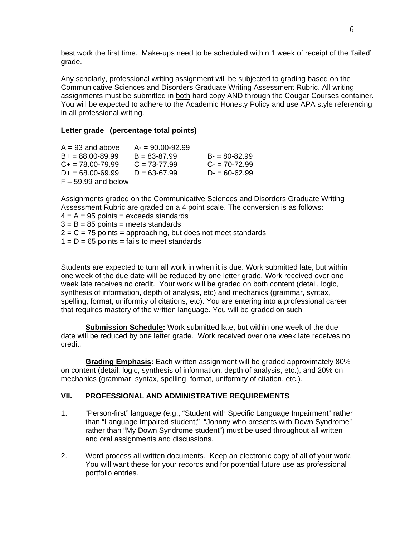best work the first time. Make-ups need to be scheduled within 1 week of receipt of the 'failed' grade.

Any scholarly, professional writing assignment will be subjected to grading based on the Communicative Sciences and Disorders Graduate Writing Assessment Rubric. All writing assignments must be submitted in both hard copy AND through the Cougar Courses container. You will be expected to adhere to the Academic Honesty Policy and use APA style referencing in all professional writing.

## **Letter grade (percentage total points)**

| $A = 93$ and above    | $A = 90.00 - 92.99$ |                  |
|-----------------------|---------------------|------------------|
| $B+ = 88.00 - 89.99$  | $B = 83 - 87.99$    | $B = 80 - 82.99$ |
| $C_{+}$ = 78.00-79.99 | $C = 73-77.99$      | $C - 70 - 72.99$ |
| $D+ = 68.00 - 69.99$  | $D = 63 - 67.99$    | $D = 60 - 62.99$ |
| $F - 59.99$ and below |                     |                  |

Assignments graded on the Communicative Sciences and Disorders Graduate Writing Assessment Rubric are graded on a 4 point scale. The conversion is as follows:

 $4 = A = 95$  points = exceeds standards

 $3 = B = 85$  points = meets standards  $2 = C = 75$  points = approaching, but does not meet standards

 $1 = D = 65$  points = fails to meet standards

Students are expected to turn all work in when it is due. Work submitted late, but within one week of the due date will be reduced by one letter grade. Work received over one week late receives no credit. Your work will be graded on both content (detail, logic, synthesis of information, depth of analysis, etc) and mechanics (grammar, syntax, spelling, format, uniformity of citations, etc). You are entering into a professional career that requires mastery of the written language. You will be graded on such

**Submission Schedule:** Work submitted late, but within one week of the due date will be reduced by one letter grade. Work received over one week late receives no credit.

 mechanics (grammar, syntax, spelling, format, uniformity of citation, etc.).  **Grading Emphasis:** Each written assignment will be graded approximately 80% on content (detail, logic, synthesis of information, depth of analysis, etc.), and 20% on

## **VII. PROFESSIONAL AND ADMINISTRATIVE REQUIREMENTS**

- 1. "Person-first" language (e.g., "Student with Specific Language Impairment" rather than "Language Impaired student;" "Johnny who presents with Down Syndrome" rather than "My Down Syndrome student") must be used throughout all written and oral assignments and discussions.
- 2. Word process all written documents. Keep an electronic copy of all of your work. You will want these for your records and for potential future use as professional portfolio entries.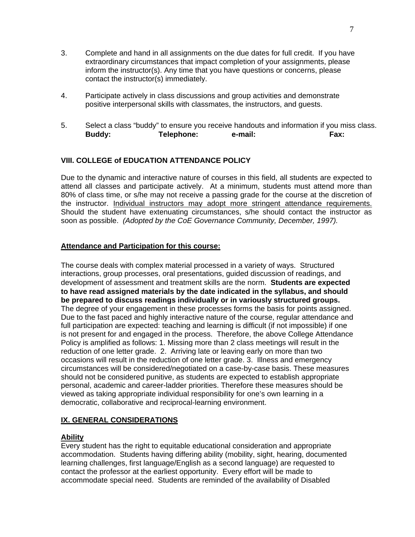- 3. Complete and hand in all assignments on the due dates for full credit. If you have extraordinary circumstances that impact completion of your assignments, please inform the instructor(s). Any time that you have questions or concerns, please contact the instructor(s) immediately.
- 4. Participate actively in class discussions and group activities and demonstrate positive interpersonal skills with classmates, the instructors, and guests.
- 5. Select a class "buddy" to ensure you receive handouts and information if you miss class. **Buddy: Telephone: e-mail: Fax:**

## **VIII. COLLEGE of EDUCATION ATTENDANCE POLICY**

the instructor. Individual instructors may adopt more stringent attendance requirements. Due to the dynamic and interactive nature of courses in this field, all students are expected to attend all classes and participate actively. At a minimum, students must attend more than 80% of class time, or s/he may not receive a passing grade for the course at the discretion of Should the student have extenuating circumstances, s/he should contact the instructor as soon as possible. *(Adopted by the CoE Governance Community, December, 1997).* 

## **Attendance and Participation for this course:**

 **be prepared to discuss readings individually or in variously structured groups.** The course deals with complex material processed in a variety of ways. Structured interactions, group processes, oral presentations, guided discussion of readings, and development of assessment and treatment skills are the norm. **Students are expected to have read assigned materials by the date indicated in the syllabus, and should**  The degree of your engagement in these processes forms the basis for points assigned. Due to the fast paced and highly interactive nature of the course, regular attendance and full participation are expected: teaching and learning is difficult (if not impossible) if one is not present for and engaged in the process. Therefore, the above College Attendance Policy is amplified as follows: 1. Missing more than 2 class meetings will result in the reduction of one letter grade. 2. Arriving late or leaving early on more than two occasions will result in the reduction of one letter grade. 3. Illness and emergency circumstances will be considered/negotiated on a case-by-case basis. These measures should not be considered punitive, as students are expected to establish appropriate personal, academic and career-ladder priorities. Therefore these measures should be viewed as taking appropriate individual responsibility for one's own learning in a democratic, collaborative and reciprocal-learning environment.

## **IX. GENERAL CONSIDERATIONS**

## **Ability**

Every student has the right to equitable educational consideration and appropriate accommodation. Students having differing ability (mobility, sight, hearing, documented learning challenges, first language/English as a second language) are requested to contact the professor at the earliest opportunity. Every effort will be made to accommodate special need. Students are reminded of the availability of Disabled